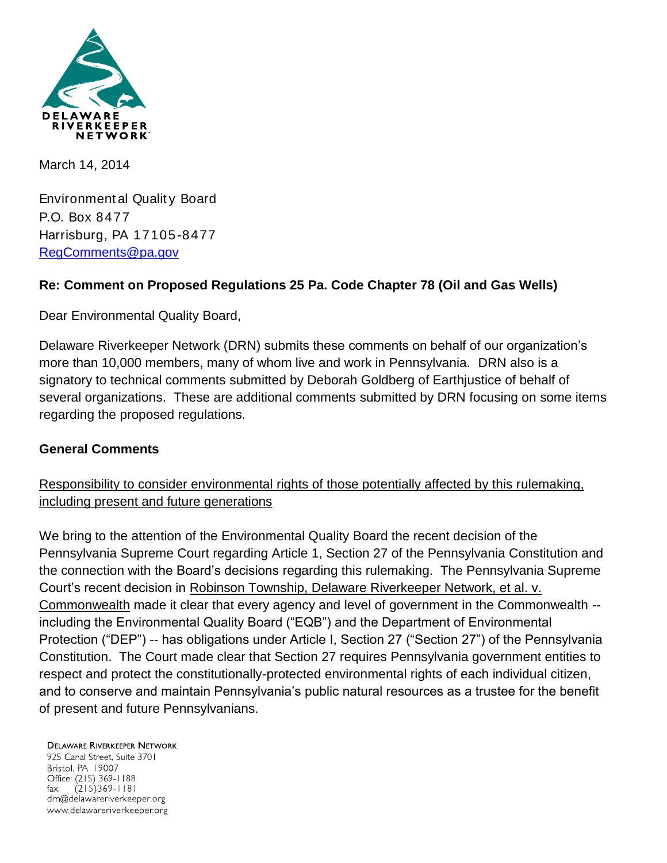

March 14, 2014

Environment al Qualit y Board P.O. Box 8477 Harrisburg, PA 17105-8477 [RegComments@pa.gov](mailto:RegComments@pa.gov)

## **Re: Comment on Proposed Regulations 25 Pa. Code Chapter 78 (Oil and Gas Wells)**

Dear Environmental Quality Board,

Delaware Riverkeeper Network (DRN) submits these comments on behalf of our organization's more than 10,000 members, many of whom live and work in Pennsylvania. DRN also is a signatory to technical comments submitted by Deborah Goldberg of Earthjustice of behalf of several organizations. These are additional comments submitted by DRN focusing on some items regarding the proposed regulations.

### **General Comments**

Responsibility to consider environmental rights of those potentially affected by this rulemaking, including present and future generations

We bring to the attention of the Environmental Quality Board the recent decision of the Pennsylvania Supreme Court regarding Article 1, Section 27 of the Pennsylvania Constitution and the connection with the Board's decisions regarding this rulemaking. The Pennsylvania Supreme Court's recent decision in Robinson Township, Delaware Riverkeeper Network, et al. v. Commonwealth made it clear that every agency and level of government in the Commonwealth - including the Environmental Quality Board ("EQB") and the Department of Environmental Protection ("DEP") -- has obligations under Article I, Section 27 ("Section 27") of the Pennsylvania Constitution. The Court made clear that Section 27 requires Pennsylvania government entities to respect and protect the constitutionally-protected environmental rights of each individual citizen, and to conserve and maintain Pennsylvania's public natural resources as a trustee for the benefit of present and future Pennsylvanians.

#### **DELAWARE RIVERKEEPER NETWORK**

925 Canal Street, Suite 3701 Bristol, PA 19007 Office: (215) 369-1188  $(215)369 - 1181$ fax: drn@delawareriverkeeper.org www.delawareriverkeeper.org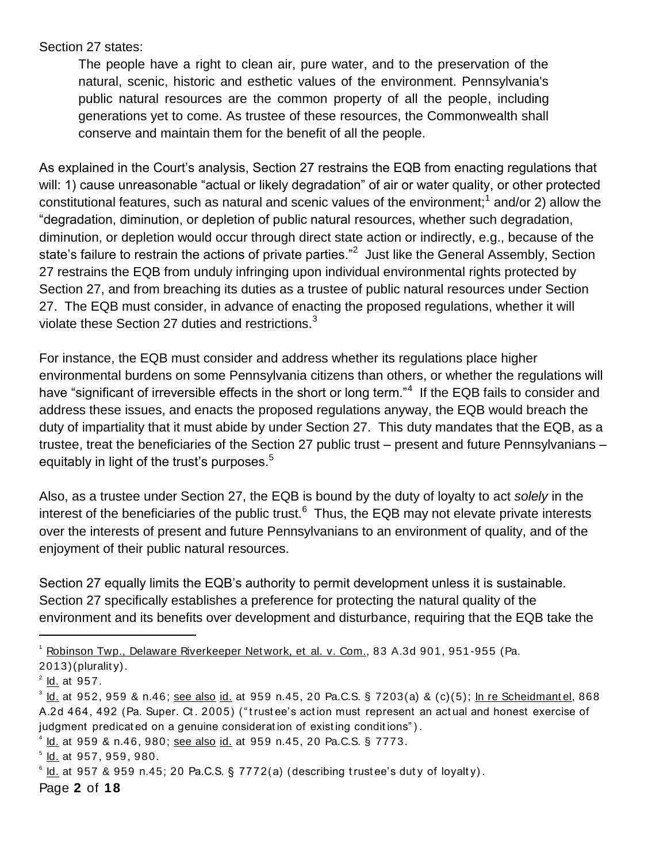Section 27 states:

The people have a right to clean air, pure water, and to the preservation of the natural, scenic, historic and esthetic values of the environment. Pennsylvania's public natural resources are the common property of all the people, including generations yet to come. As trustee of these resources, the Commonwealth shall conserve and maintain them for the benefit of all the people.

As explained in the Court's analysis, Section 27 restrains the EQB from enacting regulations that will: 1) cause unreasonable "actual or likely degradation" of air or water quality, or other protected constitutional features, such as natural and scenic values of the environment;<sup>1</sup> and/or 2) allow the "degradation, diminution, or depletion of public natural resources, whether such degradation, diminution, or depletion would occur through direct state action or indirectly, e.g., because of the state's failure to restrain the actions of private parties."<sup>2</sup> Just like the General Assembly, Section 27 restrains the EQB from unduly infringing upon individual environmental rights protected by Section 27, and from breaching its duties as a trustee of public natural resources under Section 27. The EQB must consider, in advance of enacting the proposed regulations, whether it will violate these Section 27 duties and restrictions.<sup>3</sup>

For instance, the EQB must consider and address whether its regulations place higher environmental burdens on some Pennsylvania citizens than others, or whether the regulations will have "significant of irreversible effects in the short or long term."<sup>4</sup> If the EQB fails to consider and address these issues, and enacts the proposed regulations anyway, the EQB would breach the duty of impartiality that it must abide by under Section 27. This duty mandates that the EQB, as a trustee, treat the beneficiaries of the Section 27 public trust – present and future Pennsylvanians – equitably in light of the trust's purposes.<sup>5</sup>

Also, as a trustee under Section 27, the EQB is bound by the duty of loyalty to act *solely* in the interest of the beneficiaries of the public trust.<sup>6</sup> Thus, the EQB may not elevate private interests over the interests of present and future Pennsylvanians to an environment of quality, and of the enjoyment of their public natural resources.

Section 27 equally limits the EQB's authority to permit development unless it is sustainable. Section 27 specifically establishes a preference for protecting the natural quality of the environment and its benefits over development and disturbance, requiring that the EQB take the

 $\overline{a}$ 

4 Id. at 959 & n.46, 980; see also id. at 959 n.45, 20 Pa.C.S. § 7773.

Page **2** of **18**

<sup>&</sup>lt;sup>1</sup> Robinson Twp., Delaware Riverkeeper Network, et al. v. Com., 83 A.3d 901, 951-955 (Pa.  $2013$ )(plurality).

<sup>&</sup>lt;sup>2</sup> ld. at 957.

<sup>&</sup>lt;sup>3</sup> l<u>d.</u> at 952, 959 & n.46; <u>see also id.</u> at 959 n.45, 20 Pa.C.S. § 7203(a) & (c)(5); <u>In re Scheidmantel,</u> 868 A.2d 464, 492 (Pa. Super. Ct. 2005) ("trustee's action must represent an actual and honest exercise of judgment predicated on a genuine consideration of existing conditions").

 $^{\circ}$  <u>ld.</u> at 957, 959, 980.

 $\degree$  l<u>d.</u> at 957 & 959 n.45; 20 Pa.C.S. § 7772(a) (describing trustee's duty of loyalty).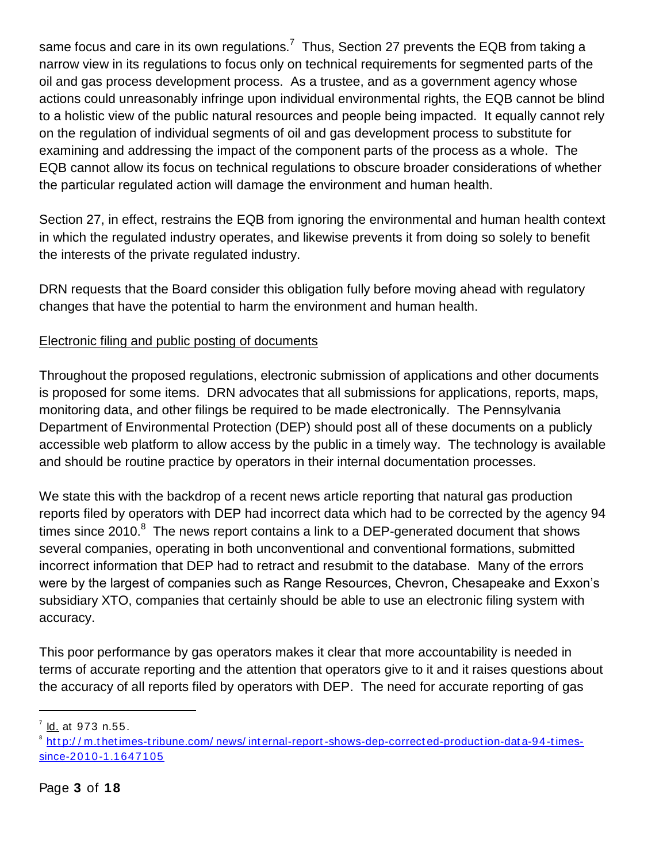same focus and care in its own regulations.<sup>7</sup> Thus, Section 27 prevents the EQB from taking a narrow view in its regulations to focus only on technical requirements for segmented parts of the oil and gas process development process. As a trustee, and as a government agency whose actions could unreasonably infringe upon individual environmental rights, the EQB cannot be blind to a holistic view of the public natural resources and people being impacted. It equally cannot rely on the regulation of individual segments of oil and gas development process to substitute for examining and addressing the impact of the component parts of the process as a whole. The EQB cannot allow its focus on technical regulations to obscure broader considerations of whether the particular regulated action will damage the environment and human health.

Section 27, in effect, restrains the EQB from ignoring the environmental and human health context in which the regulated industry operates, and likewise prevents it from doing so solely to benefit the interests of the private regulated industry.

DRN requests that the Board consider this obligation fully before moving ahead with regulatory changes that have the potential to harm the environment and human health.

# Electronic filing and public posting of documents

Throughout the proposed regulations, electronic submission of applications and other documents is proposed for some items. DRN advocates that all submissions for applications, reports, maps, monitoring data, and other filings be required to be made electronically. The Pennsylvania Department of Environmental Protection (DEP) should post all of these documents on a publicly accessible web platform to allow access by the public in a timely way. The technology is available and should be routine practice by operators in their internal documentation processes.

We state this with the backdrop of a recent news article reporting that natural gas production reports filed by operators with DEP had incorrect data which had to be corrected by the agency 94 times since 2010. $8$  The news report contains a link to a DEP-generated document that shows several companies, operating in both unconventional and conventional formations, submitted incorrect information that DEP had to retract and resubmit to the database. Many of the errors were by the largest of companies such as Range Resources, Chevron, Chesapeake and Exxon's subsidiary XTO, companies that certainly should be able to use an electronic filing system with accuracy.

This poor performance by gas operators makes it clear that more accountability is needed in terms of accurate reporting and the attention that operators give to it and it raises questions about the accuracy of all reports filed by operators with DEP. The need for accurate reporting of gas

<sup>&</sup>lt;sup>7</sup> <u>ld.</u> at 973 n.55.

<sup>&</sup>lt;sup>8</sup> http://m.thetimes-tribune.com/news/internal-report-shows-dep-corrected-production-data-94-times[since-2010-1.1647105](http://m.thetimes-tribune.com/news/internal-report-shows-dep-corrected-production-data-94-times-since-2010-1.1647105)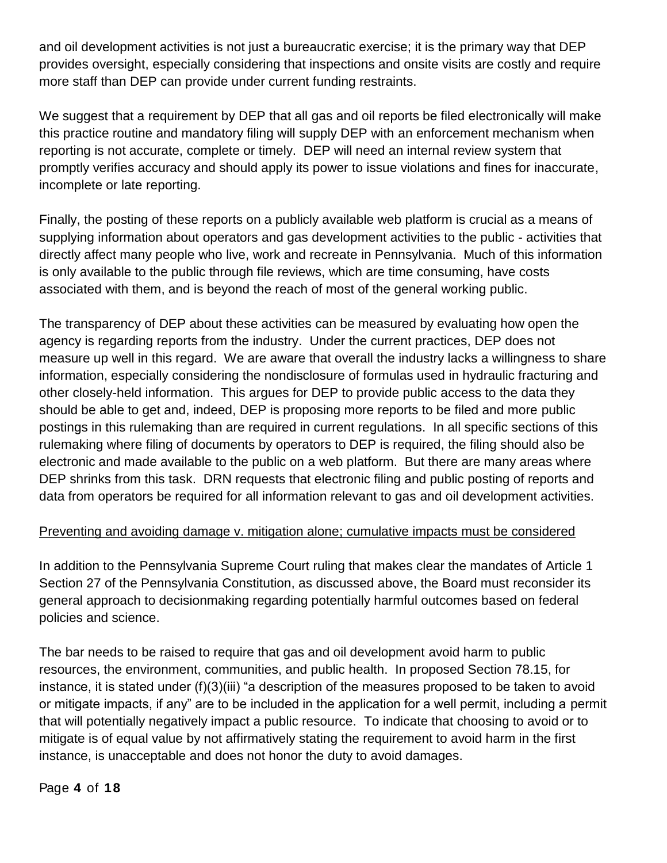and oil development activities is not just a bureaucratic exercise; it is the primary way that DEP provides oversight, especially considering that inspections and onsite visits are costly and require more staff than DEP can provide under current funding restraints.

We suggest that a requirement by DEP that all gas and oil reports be filed electronically will make this practice routine and mandatory filing will supply DEP with an enforcement mechanism when reporting is not accurate, complete or timely. DEP will need an internal review system that promptly verifies accuracy and should apply its power to issue violations and fines for inaccurate, incomplete or late reporting.

Finally, the posting of these reports on a publicly available web platform is crucial as a means of supplying information about operators and gas development activities to the public - activities that directly affect many people who live, work and recreate in Pennsylvania. Much of this information is only available to the public through file reviews, which are time consuming, have costs associated with them, and is beyond the reach of most of the general working public.

The transparency of DEP about these activities can be measured by evaluating how open the agency is regarding reports from the industry. Under the current practices, DEP does not measure up well in this regard. We are aware that overall the industry lacks a willingness to share information, especially considering the nondisclosure of formulas used in hydraulic fracturing and other closely-held information. This argues for DEP to provide public access to the data they should be able to get and, indeed, DEP is proposing more reports to be filed and more public postings in this rulemaking than are required in current regulations. In all specific sections of this rulemaking where filing of documents by operators to DEP is required, the filing should also be electronic and made available to the public on a web platform. But there are many areas where DEP shrinks from this task. DRN requests that electronic filing and public posting of reports and data from operators be required for all information relevant to gas and oil development activities.

### Preventing and avoiding damage v. mitigation alone; cumulative impacts must be considered

In addition to the Pennsylvania Supreme Court ruling that makes clear the mandates of Article 1 Section 27 of the Pennsylvania Constitution, as discussed above, the Board must reconsider its general approach to decisionmaking regarding potentially harmful outcomes based on federal policies and science.

The bar needs to be raised to require that gas and oil development avoid harm to public resources, the environment, communities, and public health. In proposed Section 78.15, for instance, it is stated under (f)(3)(iii) "a description of the measures proposed to be taken to avoid or mitigate impacts, if any" are to be included in the application for a well permit, including a permit that will potentially negatively impact a public resource. To indicate that choosing to avoid or to mitigate is of equal value by not affirmatively stating the requirement to avoid harm in the first instance, is unacceptable and does not honor the duty to avoid damages.

Page **4** of **18**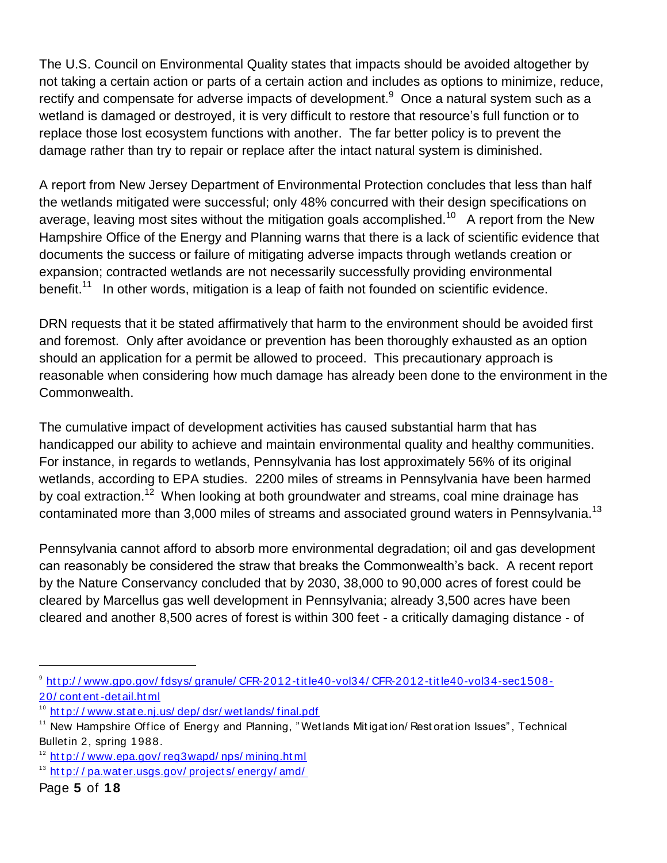The U.S. Council on Environmental Quality states that impacts should be avoided altogether by not taking a certain action or parts of a certain action and includes as options to minimize, reduce, rectify and compensate for adverse impacts of development. $9$  Once a natural system such as a wetland is damaged or destroyed, it is very difficult to restore that resource's full function or to replace those lost ecosystem functions with another. The far better policy is to prevent the damage rather than try to repair or replace after the intact natural system is diminished.

A report from New Jersey Department of Environmental Protection concludes that less than half the wetlands mitigated were successful; only 48% concurred with their design specifications on average, leaving most sites without the mitigation goals accomplished.<sup>10</sup> A report from the New Hampshire Office of the Energy and Planning warns that there is a lack of scientific evidence that documents the success or failure of mitigating adverse impacts through wetlands creation or expansion; contracted wetlands are not necessarily successfully providing environmental benefit.<sup>11</sup> In other words, mitigation is a leap of faith not founded on scientific evidence.

DRN requests that it be stated affirmatively that harm to the environment should be avoided first and foremost. Only after avoidance or prevention has been thoroughly exhausted as an option should an application for a permit be allowed to proceed. This precautionary approach is reasonable when considering how much damage has already been done to the environment in the Commonwealth.

The cumulative impact of development activities has caused substantial harm that has handicapped our ability to achieve and maintain environmental quality and healthy communities. For instance, in regards to wetlands, Pennsylvania has lost approximately 56% of its original wetlands, according to EPA studies. 2200 miles of streams in Pennsylvania have been harmed by coal extraction.<sup>12</sup> When looking at both groundwater and streams, coal mine drainage has contaminated more than 3,000 miles of streams and associated ground waters in Pennsylvania.<sup>13</sup>

Pennsylvania cannot afford to absorb more environmental degradation; oil and gas development can reasonably be considered the straw that breaks the Commonwealth's back. A recent report by the Nature Conservancy concluded that by 2030, 38,000 to 90,000 acres of forest could be cleared by Marcellus gas well development in Pennsylvania; already 3,500 acres have been cleared and another 8,500 acres of forest is within 300 feet - a critically damaging distance - of

<sup>&</sup>lt;sup>9</sup> http://www.gpo.gov/fdsys/granule/CFR-2012-title40-vol34/CFR-2012-title40-vol34-sec1508-[20/ cont ent](http://www.gpo.gov/fdsys/granule/CFR-2012-title40-vol34/CFR-2012-title40-vol34-sec1508-20/content-detail.html) -det ail.ht ml

http://www.state.nj.us/dep/dsr/wetlands/final.pdf

New Hampshire Office of Energy and Planning, " Wet lands Mitigation/ Rest oration Issues", Technical Bullet in 2, spring 1988.

 $12$  http://www.epa.gov/reg3wapd/nps/mining.html

<sup>&</sup>lt;sup>13</sup> http://pa.water.usgs.gov/projects/energy/amd/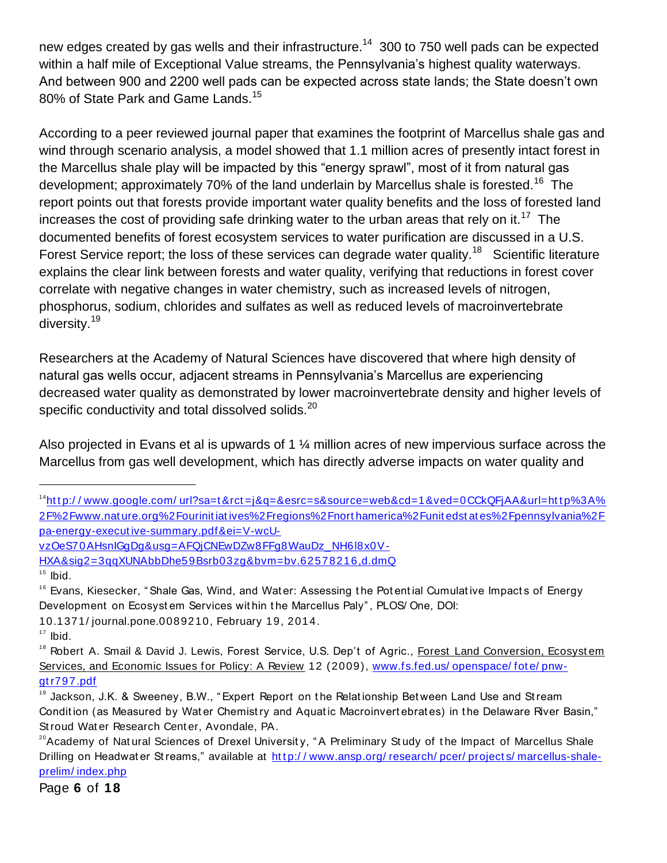new edges created by gas wells and their infrastructure.<sup>14</sup> 300 to 750 well pads can be expected within a half mile of Exceptional Value streams, the Pennsylvania's highest quality waterways. And between 900 and 2200 well pads can be expected across state lands; the State doesn't own 80% of State Park and Game Lands.<sup>15</sup>

According to a peer reviewed journal paper that examines the footprint of Marcellus shale gas and wind through scenario analysis, a model showed that 1.1 million acres of presently intact forest in the Marcellus shale play will be impacted by this "energy sprawl", most of it from natural gas development; approximately 70% of the land underlain by Marcellus shale is forested.<sup>16</sup> The report points out that forests provide important water quality benefits and the loss of forested land increases the cost of providing safe drinking water to the urban areas that rely on it.<sup>17</sup> The documented benefits of forest ecosystem services to water purification are discussed in a U.S. Forest Service report; the loss of these services can degrade water quality.<sup>18</sup> Scientific literature explains the clear link between forests and water quality, verifying that reductions in forest cover correlate with negative changes in water chemistry, such as increased levels of nitrogen, phosphorus, sodium, chlorides and sulfates as well as reduced levels of macroinvertebrate diversity.<sup>19</sup>

Researchers at the Academy of Natural Sciences have discovered that where high density of natural gas wells occur, adjacent streams in Pennsylvania's Marcellus are experiencing decreased water quality as demonstrated by lower macroinvertebrate density and higher levels of specific conductivity and total dissolved solids. $^{20}$ 

Also projected in Evans et al is upwards of 1 ¼ million acres of new impervious surface across the Marcellus from gas well development, which has directly adverse impacts on water quality and

[vzOeS70AHsnIGgDg&usg=AFQjCNEwDZw8FFg8WauDz\\_NH6l8x0V-](http://www.google.com/url?sa=t&rct=j&q=&esrc=s&source=web&cd=1&ved=0CCkQFjAA&url=http%3A%2F%2Fwww.nature.org%2Fourinitiatives%2Fregions%2Fnorthamerica%2Funitedstates%2Fpennsylvania%2Fpa-energy-executive-summary.pdf&ei=V-wcU-vzOeS70AHsnIGgDg&usg=AFQjCNEwDZw8FFg8WauDz_NH6l8x0V-HXA&sig2=3qqXUNAbbDhe59Bsrb03zg&bvm=bv.62578216,d.dmQ)

 $\overline{a}$ 

Page **6** of **18**

 $14$ http://www.google.com/url?sa=t&rct=j&q=&esrc=s&source=web&cd=1&ved=0CCkQFjAA&url=http%3A% [2F%2Fwww.nat ure.org%2Fourinit iat ives%2Fregions%2Fnort hamerica%2Funit edst at es%2Fpennsylvania%2F](http://www.google.com/url?sa=t&rct=j&q=&esrc=s&source=web&cd=1&ved=0CCkQFjAA&url=http%3A%2F%2Fwww.nature.org%2Fourinitiatives%2Fregions%2Fnorthamerica%2Funitedstates%2Fpennsylvania%2Fpa-energy-executive-summary.pdf&ei=V-wcU-vzOeS70AHsnIGgDg&usg=AFQjCNEwDZw8FFg8WauDz_NH6l8x0V-HXA&sig2=3qqXUNAbbDhe59Bsrb03zg&bvm=bv.62578216,d.dmQ) [pa-energy-execut ive-summary.pdf&ei=V-wcU-](http://www.google.com/url?sa=t&rct=j&q=&esrc=s&source=web&cd=1&ved=0CCkQFjAA&url=http%3A%2F%2Fwww.nature.org%2Fourinitiatives%2Fregions%2Fnorthamerica%2Funitedstates%2Fpennsylvania%2Fpa-energy-executive-summary.pdf&ei=V-wcU-vzOeS70AHsnIGgDg&usg=AFQjCNEwDZw8FFg8WauDz_NH6l8x0V-HXA&sig2=3qqXUNAbbDhe59Bsrb03zg&bvm=bv.62578216,d.dmQ)

[HXA&sig2=3qqXUNAbbDhe59Bsrb03zg&bvm=bv.62578216,d.dmQ](http://www.google.com/url?sa=t&rct=j&q=&esrc=s&source=web&cd=1&ved=0CCkQFjAA&url=http%3A%2F%2Fwww.nature.org%2Fourinitiatives%2Fregions%2Fnorthamerica%2Funitedstates%2Fpennsylvania%2Fpa-energy-executive-summary.pdf&ei=V-wcU-vzOeS70AHsnIGgDg&usg=AFQjCNEwDZw8FFg8WauDz_NH6l8x0V-HXA&sig2=3qqXUNAbbDhe59Bsrb03zg&bvm=bv.62578216,d.dmQ)

 $15$  Ibid.

<sup>&</sup>lt;sup>16</sup> Evans, Kiesecker, " Shale Gas, Wind, and Water: Assessing the Potential Cumulative Impacts of Energy Development on Ecosyst em Services within the Marcellus Paly", PLOS/One, DOI:

<sup>10.1371/</sup> journal.pone.0089210, February 19, 2014.

 $17$  Ibid.

<sup>&</sup>lt;sup>18</sup> Robert A. Smail & David J. Lewis, Forest Service, U.S. Dep't of Agric., Forest Land Conversion, Ecosystem Services, and Economic Issues for Policy: A Review 12 (2009), www.fs.fed.us/ openspace/ fote/ pnw[gt r797.pdf](http://www.fs.fed.us/openspace/fote/pnw-gtr797.pdf)

<sup>&</sup>lt;sup>19</sup> Jackson, J.K. & Sweeney, B.W., "Expert Report on the Relationship Between Land Use and Stream Condition (as Measured by Water Chemistry and Aquatic Macroinvertebrates) in the Delaware River Basin," St roud Wat er Research Cent er, Avondale, PA.

<sup>&</sup>lt;sup>20</sup>Academy of Natural Sciences of Drexel University, "A Preliminary Study of the Impact of Marcellus Shale Drilling on Headwat er St reams," available at http://www.ansp.org/research/pcer/projects/marcellus-shale[prelim/ index.php](http://www.ansp.org/research/pcer/projects/marcellus-shale-prelim/index.php)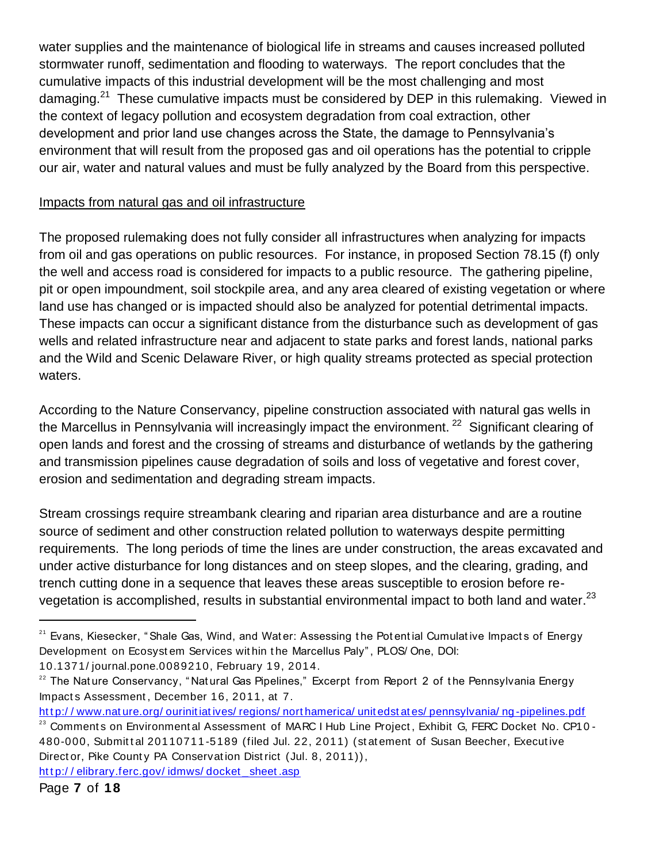water supplies and the maintenance of biological life in streams and causes increased polluted stormwater runoff, sedimentation and flooding to waterways. The report concludes that the cumulative impacts of this industrial development will be the most challenging and most damaging.<sup>21</sup> These cumulative impacts must be considered by DEP in this rulemaking. Viewed in the context of legacy pollution and ecosystem degradation from coal extraction, other development and prior land use changes across the State, the damage to Pennsylvania's environment that will result from the proposed gas and oil operations has the potential to cripple our air, water and natural values and must be fully analyzed by the Board from this perspective.

## Impacts from natural gas and oil infrastructure

The proposed rulemaking does not fully consider all infrastructures when analyzing for impacts from oil and gas operations on public resources. For instance, in proposed Section 78.15 (f) only the well and access road is considered for impacts to a public resource. The gathering pipeline, pit or open impoundment, soil stockpile area, and any area cleared of existing vegetation or where land use has changed or is impacted should also be analyzed for potential detrimental impacts. These impacts can occur a significant distance from the disturbance such as development of gas wells and related infrastructure near and adjacent to state parks and forest lands, national parks and the Wild and Scenic Delaware River, or high quality streams protected as special protection waters.

According to the Nature Conservancy, pipeline construction associated with natural gas wells in the Marcellus in Pennsylvania will increasingly impact the environment.<sup>22</sup> Significant clearing of open lands and forest and the crossing of streams and disturbance of wetlands by the gathering and transmission pipelines cause degradation of soils and loss of vegetative and forest cover, erosion and sedimentation and degrading stream impacts.

Stream crossings require streambank clearing and riparian area disturbance and are a routine source of sediment and other construction related pollution to waterways despite permitting requirements. The long periods of time the lines are under construction, the areas excavated and under active disturbance for long distances and on steep slopes, and the clearing, grading, and trench cutting done in a sequence that leaves these areas susceptible to erosion before revegetation is accomplished, results in substantial environmental impact to both land and water. $^{23}$ 

10.1371/ journal.pone.0089210, February 19, 2014.

http://elibrary.ferc.gov/idmws/docket sheet.asp

<sup>&</sup>lt;sup>21</sup> Evans, Kiesecker, "Shale Gas, Wind, and Water: Assessing the Potential Cumulative Impacts of Energy Development on Ecosyst em Services wit hin t he Marcellus Paly" , PLOS/ One, DOI:

 $22$  The Nature Conservancy, "Natural Gas Pipelines," Excerpt from Report 2 of the Pennsylvania Energy Impact s Assessment , December 16, 2011, at 7.

http://www.nature.org/ourinitiatives/regions/northamerica/unitedstates/pennsylvania/ng-pipelines.pdf

<sup>&</sup>lt;sup>23</sup> Comments on Environment al Assessment of MARC I Hub Line Project, Exhibit G, FERC Docket No. CP10 -480-000, Submittal 20110711-5189 (filed Jul. 22, 2011) (statement of Susan Beecher, Executive Direct or, Pike Count y PA Conservat ion Dist rict (Jul. 8, 2011)),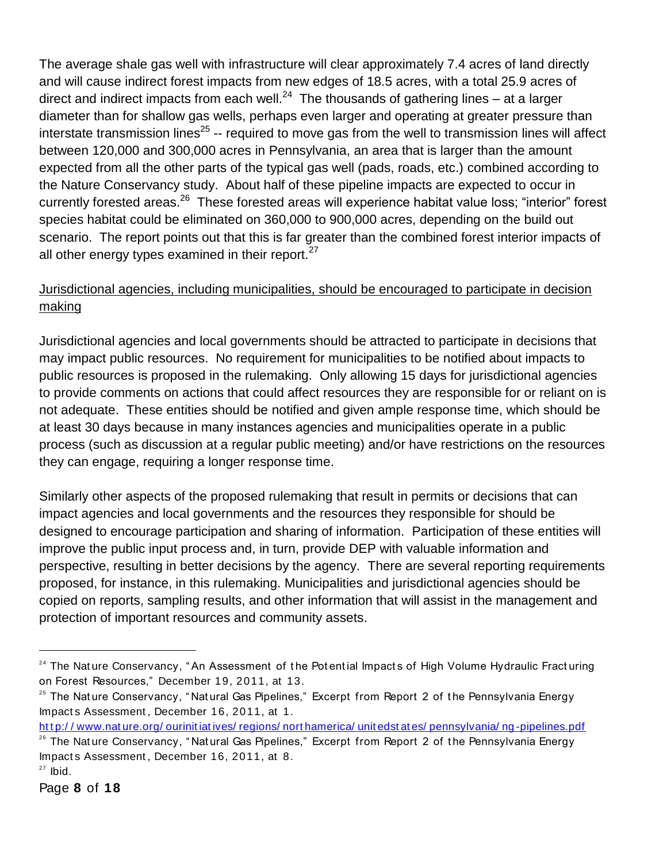The average shale gas well with infrastructure will clear approximately 7.4 acres of land directly and will cause indirect forest impacts from new edges of 18.5 acres, with a total 25.9 acres of direct and indirect impacts from each well.<sup>24</sup> The thousands of gathering lines – at a larger diameter than for shallow gas wells, perhaps even larger and operating at greater pressure than interstate transmission lines<sup>25</sup> -- required to move gas from the well to transmission lines will affect between 120,000 and 300,000 acres in Pennsylvania, an area that is larger than the amount expected from all the other parts of the typical gas well (pads, roads, etc.) combined according to the Nature Conservancy study. About half of these pipeline impacts are expected to occur in currently forested areas.<sup>26</sup> These forested areas will experience habitat value loss; "interior" forest species habitat could be eliminated on 360,000 to 900,000 acres, depending on the build out scenario. The report points out that this is far greater than the combined forest interior impacts of all other energy types examined in their report. $27$ 

# Jurisdictional agencies, including municipalities, should be encouraged to participate in decision making

Jurisdictional agencies and local governments should be attracted to participate in decisions that may impact public resources. No requirement for municipalities to be notified about impacts to public resources is proposed in the rulemaking. Only allowing 15 days for jurisdictional agencies to provide comments on actions that could affect resources they are responsible for or reliant on is not adequate. These entities should be notified and given ample response time, which should be at least 30 days because in many instances agencies and municipalities operate in a public process (such as discussion at a regular public meeting) and/or have restrictions on the resources they can engage, requiring a longer response time.

Similarly other aspects of the proposed rulemaking that result in permits or decisions that can impact agencies and local governments and the resources they responsible for should be designed to encourage participation and sharing of information. Participation of these entities will improve the public input process and, in turn, provide DEP with valuable information and perspective, resulting in better decisions by the agency. There are several reporting requirements proposed, for instance, in this rulemaking. Municipalities and jurisdictional agencies should be copied on reports, sampling results, and other information that will assist in the management and protection of important resources and community assets.

http://www.nature.org/ourinitiatives/regions/northamerica/unitedstates/pennsylvania/ng-pipelines.pdf

<sup>&</sup>lt;sup>24</sup> The Nature Conservancy, "An Assessment of the Potential Impacts of High Volume Hydraulic Fracturing on Forest Resources," December 19, 2011, at 13.

 $25$  The Nature Conservancy, "Natural Gas Pipelines," Excerpt from Report 2 of the Pennsylvania Energy Impact s Assessment , December 16, 2011, at 1.

<sup>&</sup>lt;sup>26</sup> The Nature Conservancy, "Natural Gas Pipelines," Excerpt from Report 2 of the Pennsylvania Energy Impact s Assessment , December 16, 2011, at 8.

 $27$  lbid.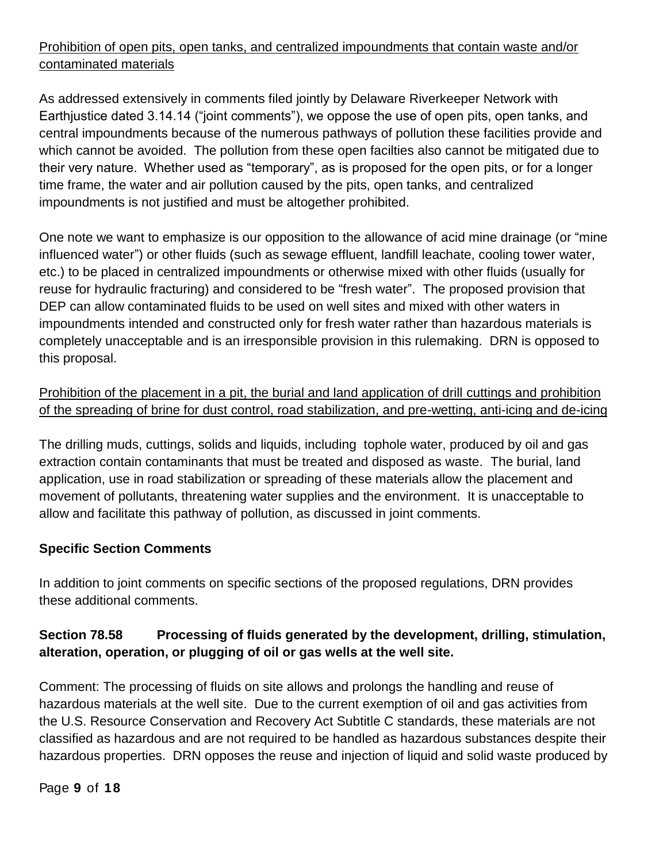# Prohibition of open pits, open tanks, and centralized impoundments that contain waste and/or contaminated materials

As addressed extensively in comments filed jointly by Delaware Riverkeeper Network with Earthjustice dated 3.14.14 ("joint comments"), we oppose the use of open pits, open tanks, and central impoundments because of the numerous pathways of pollution these facilities provide and which cannot be avoided. The pollution from these open facilties also cannot be mitigated due to their very nature. Whether used as "temporary", as is proposed for the open pits, or for a longer time frame, the water and air pollution caused by the pits, open tanks, and centralized impoundments is not justified and must be altogether prohibited.

One note we want to emphasize is our opposition to the allowance of acid mine drainage (or "mine influenced water") or other fluids (such as sewage effluent, landfill leachate, cooling tower water, etc.) to be placed in centralized impoundments or otherwise mixed with other fluids (usually for reuse for hydraulic fracturing) and considered to be "fresh water". The proposed provision that DEP can allow contaminated fluids to be used on well sites and mixed with other waters in impoundments intended and constructed only for fresh water rather than hazardous materials is completely unacceptable and is an irresponsible provision in this rulemaking. DRN is opposed to this proposal.

# Prohibition of the placement in a pit, the burial and land application of drill cuttings and prohibition of the spreading of brine for dust control, road stabilization, and pre-wetting, anti-icing and de-icing

The drilling muds, cuttings, solids and liquids, including tophole water, produced by oil and gas extraction contain contaminants that must be treated and disposed as waste. The burial, land application, use in road stabilization or spreading of these materials allow the placement and movement of pollutants, threatening water supplies and the environment. It is unacceptable to allow and facilitate this pathway of pollution, as discussed in joint comments.

# **Specific Section Comments**

In addition to joint comments on specific sections of the proposed regulations, DRN provides these additional comments.

# **Section 78.58 Processing of fluids generated by the development, drilling, stimulation, alteration, operation, or plugging of oil or gas wells at the well site.**

Comment: The processing of fluids on site allows and prolongs the handling and reuse of hazardous materials at the well site. Due to the current exemption of oil and gas activities from the U.S. Resource Conservation and Recovery Act Subtitle C standards, these materials are not classified as hazardous and are not required to be handled as hazardous substances despite their hazardous properties. DRN opposes the reuse and injection of liquid and solid waste produced by

Page **9** of **18**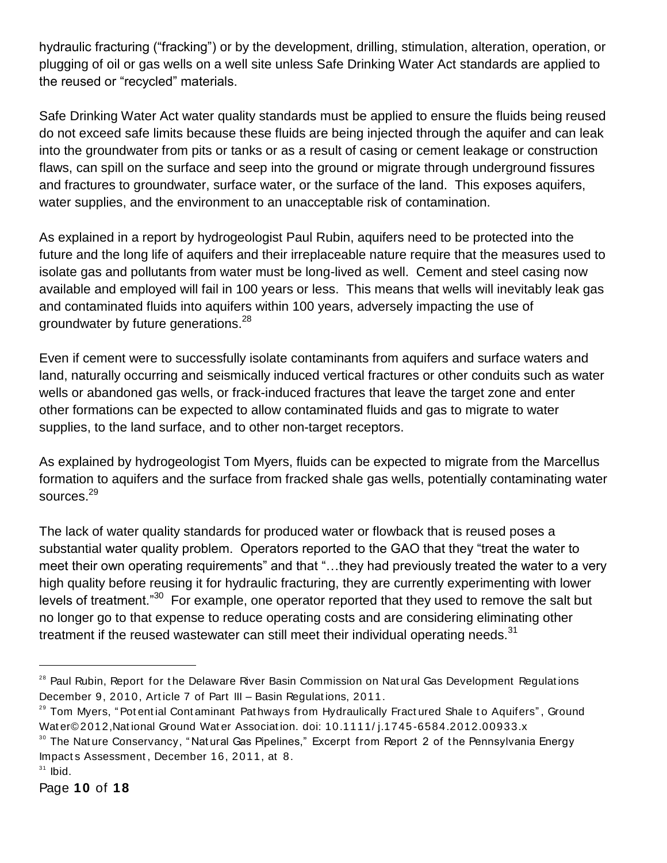hydraulic fracturing ("fracking") or by the development, drilling, stimulation, alteration, operation, or plugging of oil or gas wells on a well site unless Safe Drinking Water Act standards are applied to the reused or "recycled" materials.

Safe Drinking Water Act water quality standards must be applied to ensure the fluids being reused do not exceed safe limits because these fluids are being injected through the aquifer and can leak into the groundwater from pits or tanks or as a result of casing or cement leakage or construction flaws, can spill on the surface and seep into the ground or migrate through underground fissures and fractures to groundwater, surface water, or the surface of the land. This exposes aquifers, water supplies, and the environment to an unacceptable risk of contamination.

As explained in a report by hydrogeologist Paul Rubin, aquifers need to be protected into the future and the long life of aquifers and their irreplaceable nature require that the measures used to isolate gas and pollutants from water must be long-lived as well. Cement and steel casing now available and employed will fail in 100 years or less. This means that wells will inevitably leak gas and contaminated fluids into aquifers within 100 years, adversely impacting the use of groundwater by future generations.<sup>28</sup>

Even if cement were to successfully isolate contaminants from aquifers and surface waters and land, naturally occurring and seismically induced vertical fractures or other conduits such as water wells or abandoned gas wells, or frack-induced fractures that leave the target zone and enter other formations can be expected to allow contaminated fluids and gas to migrate to water supplies, to the land surface, and to other non-target receptors.

As explained by hydrogeologist Tom Myers, fluids can be expected to migrate from the Marcellus formation to aquifers and the surface from fracked shale gas wells, potentially contaminating water sources. 29

The lack of water quality standards for produced water or flowback that is reused poses a substantial water quality problem. Operators reported to the GAO that they "treat the water to meet their own operating requirements" and that "…they had previously treated the water to a very high quality before reusing it for hydraulic fracturing, they are currently experimenting with lower levels of treatment."<sup>30</sup> For example, one operator reported that they used to remove the salt but no longer go to that expense to reduce operating costs and are considering eliminating other treatment if the reused wastewater can still meet their individual operating needs. $31$ 

<sup>&</sup>lt;sup>28</sup> Paul Rubin, Report for the Delaware River Basin Commission on Natural Gas Development Regulations December 9, 2010, Article 7 of Part III - Basin Regulations, 2011.

<sup>&</sup>lt;sup>29</sup> Tom Myers, "Potential Contaminant Pathways from Hydraulically Fractured Shale to Aquifers", Ground Wat er© 2012, National Ground Wat er Association. doi: 10.1111/ j.1745-6584.2012.00933.x

<sup>&</sup>lt;sup>30</sup> The Nature Conservancy, "Natural Gas Pipelines," Excerpt from Report 2 of the Pennsylvania Energy Impact s Assessment , December 16, 2011, at 8.

 $31$  lbid.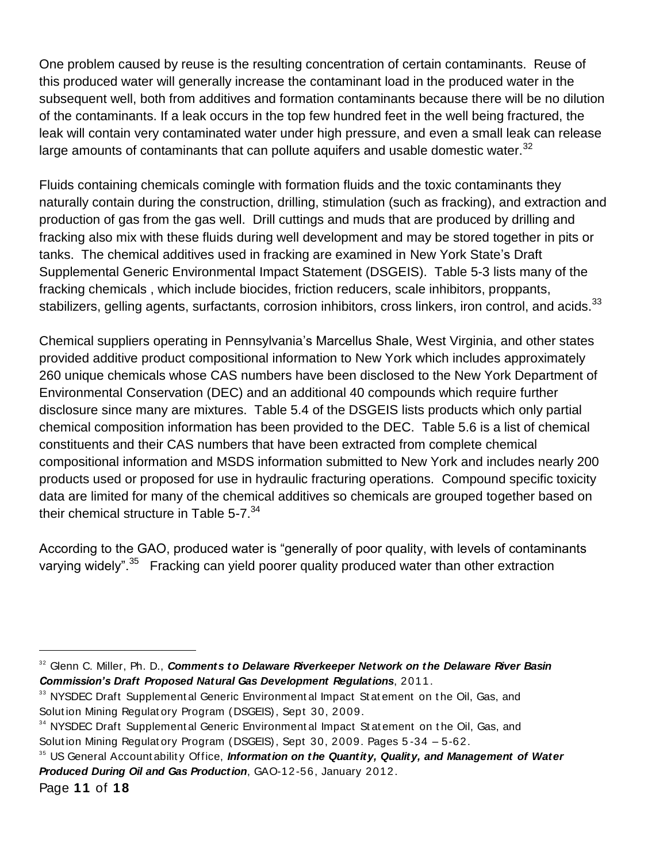One problem caused by reuse is the resulting concentration of certain contaminants. Reuse of this produced water will generally increase the contaminant load in the produced water in the subsequent well, both from additives and formation contaminants because there will be no dilution of the contaminants. If a leak occurs in the top few hundred feet in the well being fractured, the leak will contain very contaminated water under high pressure, and even a small leak can release large amounts of contaminants that can pollute aquifers and usable domestic water.<sup>32</sup>

Fluids containing chemicals comingle with formation fluids and the toxic contaminants they naturally contain during the construction, drilling, stimulation (such as fracking), and extraction and production of gas from the gas well. Drill cuttings and muds that are produced by drilling and fracking also mix with these fluids during well development and may be stored together in pits or tanks. The chemical additives used in fracking are examined in New York State's Draft Supplemental Generic Environmental Impact Statement (DSGEIS). Table 5-3 lists many of the fracking chemicals , which include biocides, friction reducers, scale inhibitors, proppants, stabilizers, gelling agents, surfactants, corrosion inhibitors, cross linkers, iron control, and acids.<sup>33</sup>

Chemical suppliers operating in Pennsylvania's Marcellus Shale, West Virginia, and other states provided additive product compositional information to New York which includes approximately 260 unique chemicals whose CAS numbers have been disclosed to the New York Department of Environmental Conservation (DEC) and an additional 40 compounds which require further disclosure since many are mixtures. Table 5.4 of the DSGEIS lists products which only partial chemical composition information has been provided to the DEC. Table 5.6 is a list of chemical constituents and their CAS numbers that have been extracted from complete chemical compositional information and MSDS information submitted to New York and includes nearly 200 products used or proposed for use in hydraulic fracturing operations. Compound specific toxicity data are limited for many of the chemical additives so chemicals are grouped together based on their chemical structure in Table  $5-7.^{34}$ 

According to the GAO, produced water is "generally of poor quality, with levels of contaminants varying widely".<sup>35</sup> Fracking can yield poorer quality produced water than other extraction

<sup>32</sup> Glenn C. Miller, Ph. D., *Comments to Delaware Riverkeeper Network on the Delaware River Basin Commission's Draft Proposed Natural Gas Development Regulations*, 2011.

<sup>&</sup>lt;sup>33</sup> NYSDEC Draft Supplement al Generic Environment al Impact St at ement on the Oil, Gas, and Solut ion Mining Regulat ory Program (DSGEIS), Sept 30, 2009.

<sup>&</sup>lt;sup>34</sup> NYSDEC Draft Supplement al Generic Environment al Impact St at ement on the Oil, Gas, and Solut ion Mining Regulat ory Program (DSGEIS), Sept 30, 2009. Pages 5 -34 – 5-62.

Page **11** of **18** <sup>35</sup> US General Account ability Office, *Information on the Quantity, Quality, and Management of Water Produced During Oil and Gas Production*, GAO-12-56, January 2012.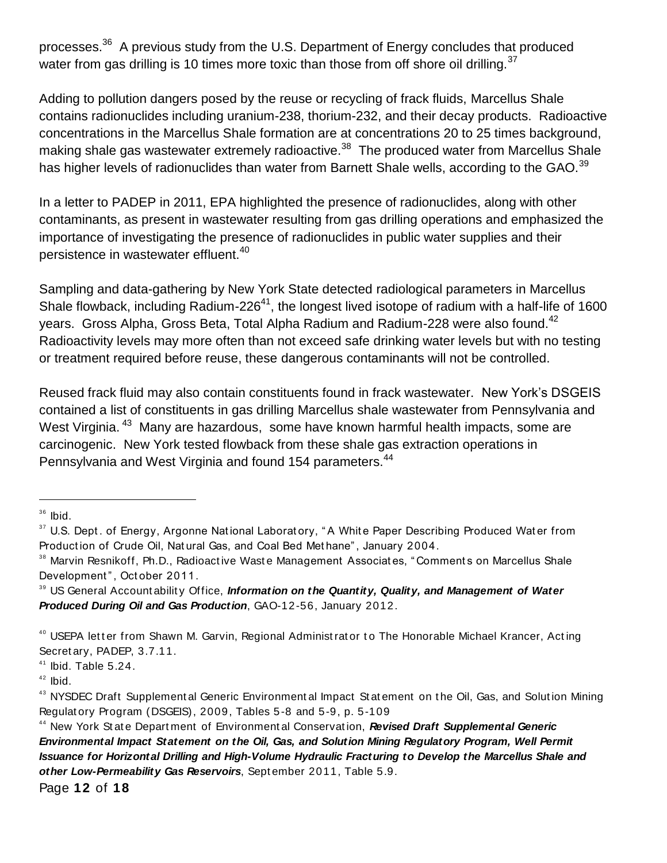processes.<sup>36</sup> A previous study from the U.S. Department of Energy concludes that produced water from gas drilling is 10 times more toxic than those from off shore oil drilling.  $37$ 

Adding to pollution dangers posed by the reuse or recycling of frack fluids, Marcellus Shale contains radionuclides including uranium-238, thorium-232, and their decay products. Radioactive concentrations in the Marcellus Shale formation are at concentrations 20 to 25 times background, making shale gas wastewater extremely radioactive.<sup>38</sup> The produced water from Marcellus Shale has higher levels of radionuclides than water from Barnett Shale wells, according to the GAO.<sup>39</sup>

In a letter to PADEP in 2011, EPA highlighted the presence of radionuclides, along with other contaminants, as present in wastewater resulting from gas drilling operations and emphasized the importance of investigating the presence of radionuclides in public water supplies and their persistence in wastewater effluent.<sup>40</sup>

Sampling and data-gathering by New York State detected radiological parameters in Marcellus Shale flowback, including Radium-226<sup>41</sup>, the longest lived isotope of radium with a half-life of 1600 years. Gross Alpha, Gross Beta, Total Alpha Radium and Radium-228 were also found. $^{42}$ Radioactivity levels may more often than not exceed safe drinking water levels but with no testing or treatment required before reuse, these dangerous contaminants will not be controlled.

Reused frack fluid may also contain constituents found in frack wastewater. New York's DSGEIS contained a list of constituents in gas drilling Marcellus shale wastewater from Pennsylvania and West Virginia.<sup>43</sup> Many are hazardous, some have known harmful health impacts, some are carcinogenic. New York tested flowback from these shale gas extraction operations in Pennsylvania and West Virginia and found 154 parameters.<sup>44</sup>

 $\overline{a}$ 

<sup>39</sup> US General Accountability Office, *Information on the Quantity, Quality, and Management of Water Produced During Oil and Gas Production*, GAO-12-56, January 2012.

 $36$  Ibid.

<sup>&</sup>lt;sup>37</sup> U.S. Dept. of Energy, Argonne National Laboratory, "A White Paper Describing Produced Water from Product ion of Crude Oil, Nat ural Gas, and Coal Bed Met hane" , January 2004.

<sup>&</sup>lt;sup>38</sup> Marvin Resnikoff, Ph.D., Radioactive Waste Management Associates, "Comments on Marcellus Shale Development", October 2011.

<sup>&</sup>lt;sup>40</sup> USEPA letter from Shawn M. Garvin, Regional Administrator to The Honorable Michael Krancer, Acting Secret ary, PADEP, 3.7.11.

 $41$  Ibid. Table 5.24.

 $42$  Ibid.

<sup>&</sup>lt;sup>43</sup> NYSDEC Draft Supplement al Generic Environment al Impact St at ement on the Oil, Gas, and Solution Mining Regulat ory Program (DSGEIS), 2009, Tables 5 -8 and 5-9, p. 5-109

<sup>&</sup>lt;sup>44</sup> New York State Department of Environmental Conservation, **Revised Draft Supplemental Generic** *Environmental Impact Statement on the Oil, Gas, and Solution Mining Regulatory Program, Well Permit Issuance for Horizontal Drilling and High-Volume Hydraulic Fracturing to Develop the Marcellus Shale and other Low-Permeability Gas Reservoirs*, Sept ember 2011, Table 5.9.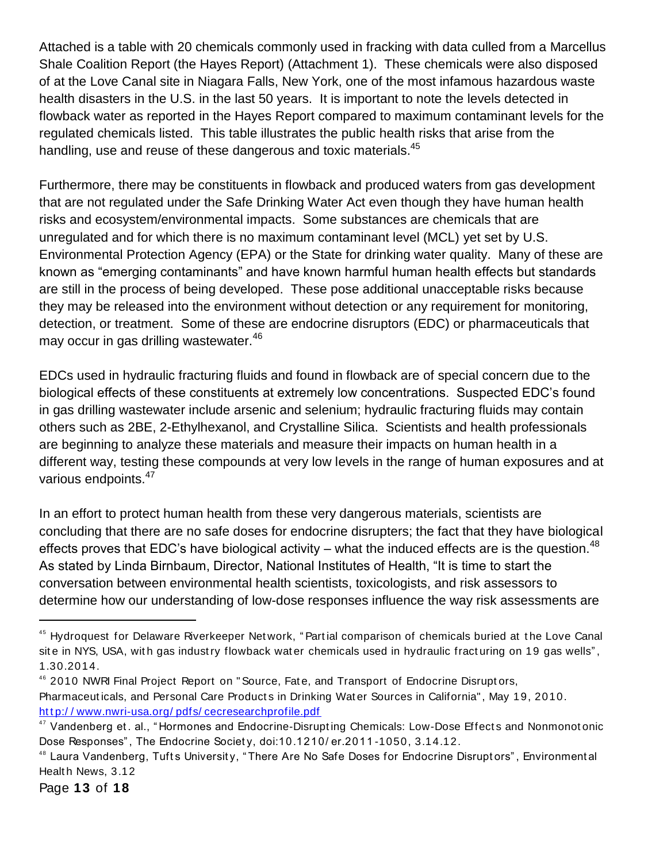Attached is a table with 20 chemicals commonly used in fracking with data culled from a Marcellus Shale Coalition Report (the Hayes Report) (Attachment 1). These chemicals were also disposed of at the Love Canal site in Niagara Falls, New York, one of the most infamous hazardous waste health disasters in the U.S. in the last 50 years. It is important to note the levels detected in flowback water as reported in the Hayes Report compared to maximum contaminant levels for the regulated chemicals listed. This table illustrates the public health risks that arise from the handling, use and reuse of these dangerous and toxic materials.<sup>45</sup>

Furthermore, there may be constituents in flowback and produced waters from gas development that are not regulated under the Safe Drinking Water Act even though they have human health risks and ecosystem/environmental impacts. Some substances are chemicals that are unregulated and for which there is no maximum contaminant level (MCL) yet set by U.S. Environmental Protection Agency (EPA) or the State for drinking water quality. Many of these are known as "emerging contaminants" and have known harmful human health effects but standards are still in the process of being developed. These pose additional unacceptable risks because they may be released into the environment without detection or any requirement for monitoring, detection, or treatment. Some of these are endocrine disruptors (EDC) or pharmaceuticals that may occur in gas drilling wastewater.<sup>46</sup>

EDCs used in hydraulic fracturing fluids and found in flowback are of special concern due to the biological effects of these constituents at extremely low concentrations. Suspected EDC's found in gas drilling wastewater include arsenic and selenium; hydraulic fracturing fluids may contain others such as 2BE, 2-Ethylhexanol, and Crystalline Silica. Scientists and health professionals are beginning to analyze these materials and measure their impacts on human health in a different way, testing these compounds at very low levels in the range of human exposures and at various endpoints.<sup>47</sup>

In an effort to protect human health from these very dangerous materials, scientists are concluding that there are no safe doses for endocrine disrupters; the fact that they have biological effects proves that EDC's have biological activity – what the induced effects are is the question.<sup>48</sup> As stated by Linda Birnbaum, Director, National Institutes of Health, "It is time to start the conversation between environmental health scientists, toxicologists, and risk assessors to determine how our understanding of low-dose responses influence the way risk assessments are

<sup>&</sup>lt;sup>45</sup> Hydroquest for Delaware Riverkeeper Network, "Partial comparison of chemicals buried at the Love Canal site in NYS, USA, with gas industry flowback water chemicals used in hydraulic fracturing on 19 gas wells", 1.30.2014.

<sup>&</sup>lt;sup>46</sup> 2010 NWRI Final Project Report on "Source, Fate, and Transport of Endocrine Disruptors, Pharmaceuticals, and Personal Care Products in Drinking Water Sources in California", May 19, 2010. http://www.nwri-usa.org/pdfs/cecresearchprofile.pdf

<sup>&</sup>lt;sup>47</sup> Vandenberg et. al., "Hormones and Endocrine-Disrupting Chemicals: Low-Dose Effects and Nonmonotonic Dose Responses" , The Endocrine Societ y, doi:10.1210/ er.2011 -1050, 3.14.12.

<sup>&</sup>lt;sup>48</sup> Laura Vandenberg, Tufts University, "There Are No Safe Doses for Endocrine Disruptors", Environmental Healt h News, 3.12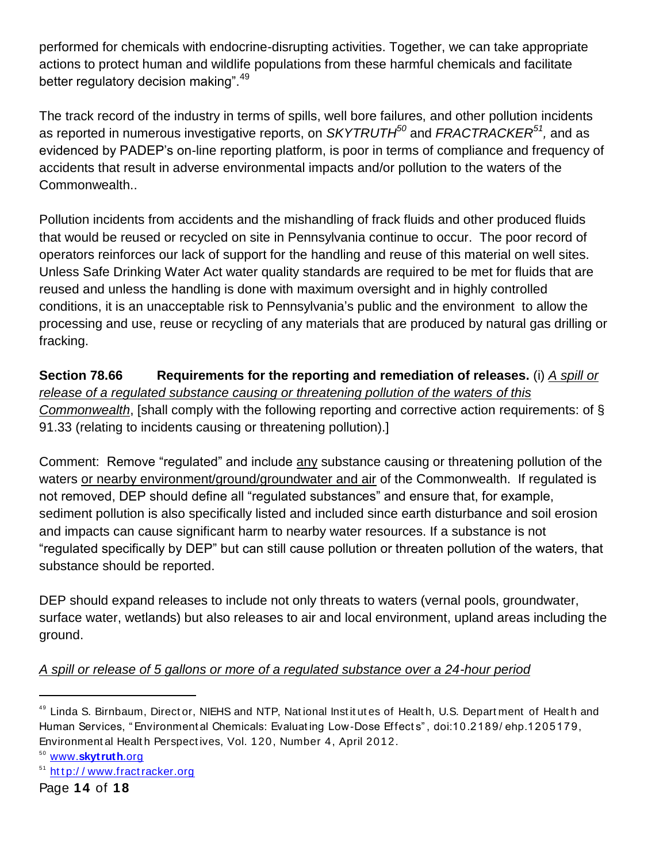performed for chemicals with endocrine-disrupting activities. Together, we can take appropriate actions to protect human and wildlife populations from these harmful chemicals and facilitate better regulatory decision making".<sup>49</sup>

The track record of the industry in terms of spills, well bore failures, and other pollution incidents as reported in numerous investigative reports, on *SKYTRUTH<sup>50</sup>* and *FRACTRACKER<sup>51</sup> ,* and as evidenced by PADEP's on-line reporting platform, is poor in terms of compliance and frequency of accidents that result in adverse environmental impacts and/or pollution to the waters of the Commonwealth..

Pollution incidents from accidents and the mishandling of frack fluids and other produced fluids that would be reused or recycled on site in Pennsylvania continue to occur. The poor record of operators reinforces our lack of support for the handling and reuse of this material on well sites. Unless Safe Drinking Water Act water quality standards are required to be met for fluids that are reused and unless the handling is done with maximum oversight and in highly controlled conditions, it is an unacceptable risk to Pennsylvania's public and the environment to allow the processing and use, reuse or recycling of any materials that are produced by natural gas drilling or fracking.

**Section 78.66 Requirements for the reporting and remediation of releases.** (i) *A spill or release of a regulated substance causing or threatening pollution of the waters of this Commonwealth*, [shall comply with the following reporting and corrective action requirements: of § 91.33 (relating to incidents causing or threatening pollution).]

Comment: Remove "regulated" and include any substance causing or threatening pollution of the waters or nearby environment/ground/groundwater and air of the Commonwealth. If regulated is not removed, DEP should define all "regulated substances" and ensure that, for example, sediment pollution is also specifically listed and included since earth disturbance and soil erosion and impacts can cause significant harm to nearby water resources. If a substance is not "regulated specifically by DEP" but can still cause pollution or threaten pollution of the waters, that substance should be reported.

DEP should expand releases to include not only threats to waters (vernal pools, groundwater, surface water, wetlands) but also releases to air and local environment, upland areas including the ground.

# *A spill or release of 5 gallons or more of a regulated substance over a 24-hour period*

<sup>49</sup> Linda S. Birnbaum, Director, NIEHS and NTP, National Institutes of Health, U.S. Department of Health and Human Services, " Environment al Chemicals: Evaluat ing Low-Dose Effect s" , doi:10.2189/ ehp.1205179, Environment al Health Perspectives, Vol. 120, Number 4, April 2012.

<sup>50</sup> www.**[skytruth](http://www.skytruth.org/)**.org

<sup>&</sup>lt;sup>51</sup> http://www.fractracker.org

Page **14** of **18**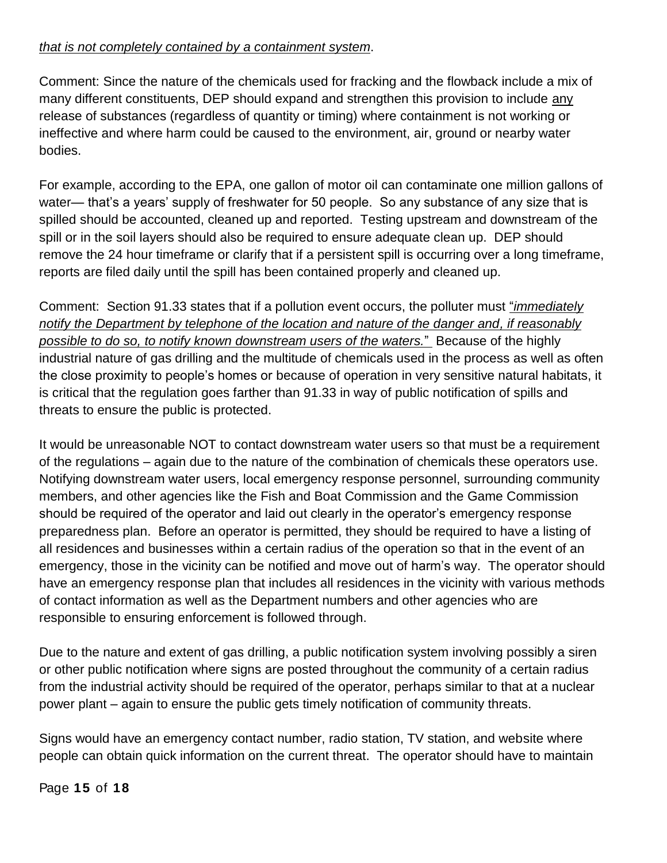### *that is not completely contained by a containment system*.

Comment: Since the nature of the chemicals used for fracking and the flowback include a mix of many different constituents, DEP should expand and strengthen this provision to include any release of substances (regardless of quantity or timing) where containment is not working or ineffective and where harm could be caused to the environment, air, ground or nearby water bodies.

For example, according to the EPA, one gallon of motor oil can contaminate one million gallons of water— that's a years' supply of freshwater for 50 people. So any substance of any size that is spilled should be accounted, cleaned up and reported. Testing upstream and downstream of the spill or in the soil layers should also be required to ensure adequate clean up. DEP should remove the 24 hour timeframe or clarify that if a persistent spill is occurring over a long timeframe, reports are filed daily until the spill has been contained properly and cleaned up.

Comment: Section 91.33 states that if a pollution event occurs, the polluter must "*immediately notify the Department by telephone of the location and nature of the danger and, if reasonably possible to do so, to notify known downstream users of the waters.*" Because of the highly industrial nature of gas drilling and the multitude of chemicals used in the process as well as often the close proximity to people's homes or because of operation in very sensitive natural habitats, it is critical that the regulation goes farther than 91.33 in way of public notification of spills and threats to ensure the public is protected.

It would be unreasonable NOT to contact downstream water users so that must be a requirement of the regulations – again due to the nature of the combination of chemicals these operators use. Notifying downstream water users, local emergency response personnel, surrounding community members, and other agencies like the Fish and Boat Commission and the Game Commission should be required of the operator and laid out clearly in the operator's emergency response preparedness plan. Before an operator is permitted, they should be required to have a listing of all residences and businesses within a certain radius of the operation so that in the event of an emergency, those in the vicinity can be notified and move out of harm's way. The operator should have an emergency response plan that includes all residences in the vicinity with various methods of contact information as well as the Department numbers and other agencies who are responsible to ensuring enforcement is followed through.

Due to the nature and extent of gas drilling, a public notification system involving possibly a siren or other public notification where signs are posted throughout the community of a certain radius from the industrial activity should be required of the operator, perhaps similar to that at a nuclear power plant – again to ensure the public gets timely notification of community threats.

Signs would have an emergency contact number, radio station, TV station, and website where people can obtain quick information on the current threat. The operator should have to maintain

Page **15** of **18**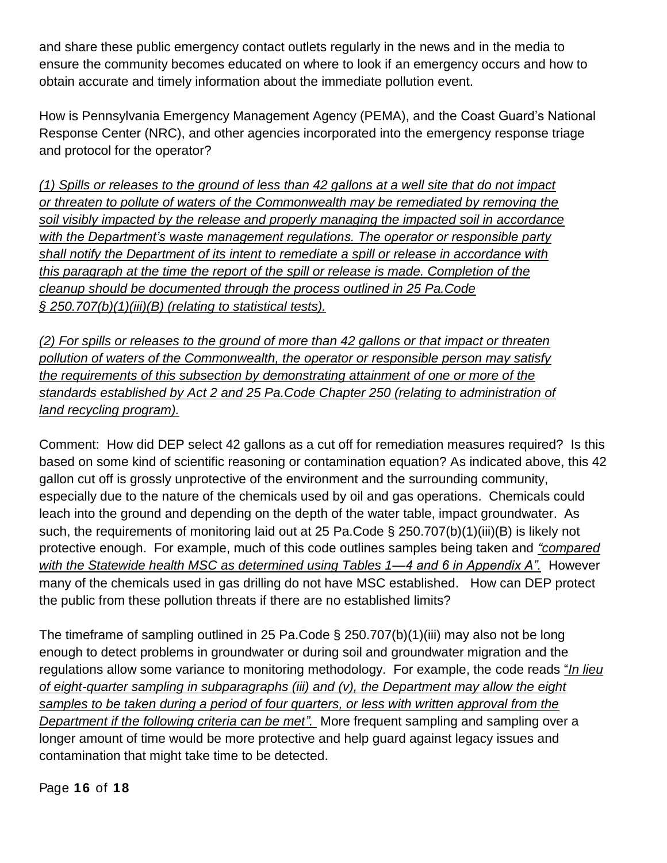and share these public emergency contact outlets regularly in the news and in the media to ensure the community becomes educated on where to look if an emergency occurs and how to obtain accurate and timely information about the immediate pollution event.

How is Pennsylvania Emergency Management Agency (PEMA), and the Coast Guard's National Response Center (NRC), and other agencies incorporated into the emergency response triage and protocol for the operator?

*(1) Spills or releases to the ground of less than 42 gallons at a well site that do not impact or threaten to pollute of waters of the Commonwealth may be remediated by removing the soil visibly impacted by the release and properly managing the impacted soil in accordance with the Department's waste management regulations. The operator or responsible party shall notify the Department of its intent to remediate a spill or release in accordance with this paragraph at the time the report of the spill or release is made. Completion of the cleanup should be documented through the process outlined in 25 Pa.Code § 250.707(b)(1)(iii)(B) (relating to statistical tests).*

*(2) For spills or releases to the ground of more than 42 gallons or that impact or threaten pollution of waters of the Commonwealth, the operator or responsible person may satisfy the requirements of this subsection by demonstrating attainment of one or more of the standards established by Act 2 and 25 Pa.Code Chapter 250 (relating to administration of land recycling program).*

Comment: How did DEP select 42 gallons as a cut off for remediation measures required? Is this based on some kind of scientific reasoning or contamination equation? As indicated above, this 42 gallon cut off is grossly unprotective of the environment and the surrounding community, especially due to the nature of the chemicals used by oil and gas operations. Chemicals could leach into the ground and depending on the depth of the water table, impact groundwater. As such, the requirements of monitoring laid out at 25 Pa.Code § 250.707(b)(1)(iii)(B) is likely not protective enough. For example, much of this code outlines samples being taken and *"compared with the Statewide health MSC as determined using Tables 1—4 and 6 in Appendix A".* However many of the chemicals used in gas drilling do not have MSC established. How can DEP protect the public from these pollution threats if there are no established limits?

The timeframe of sampling outlined in 25 Pa.Code § 250.707(b)(1)(iii) may also not be long enough to detect problems in groundwater or during soil and groundwater migration and the regulations allow some variance to monitoring methodology. For example, the code reads "*In lieu of eight-quarter sampling in subparagraphs (iii) and (v), the Department may allow the eight samples to be taken during a period of four quarters, or less with written approval from the Department if the following criteria can be met".* More frequent sampling and sampling over a longer amount of time would be more protective and help guard against legacy issues and contamination that might take time to be detected.

Page **16** of **18**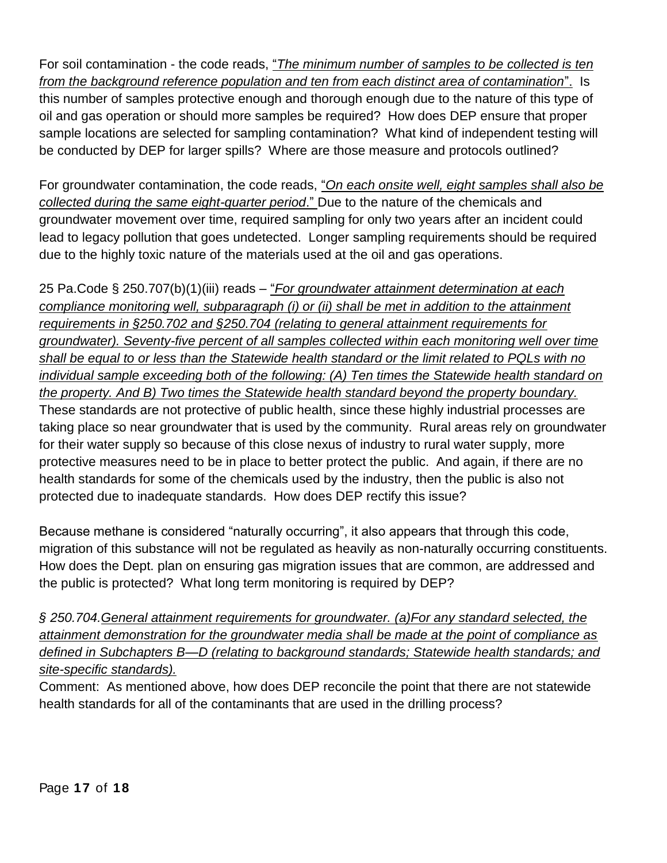For soil contamination - the code reads, "*The minimum number of samples to be collected is ten from the background reference population and ten from each distinct area of contamination*". Is this number of samples protective enough and thorough enough due to the nature of this type of oil and gas operation or should more samples be required? How does DEP ensure that proper sample locations are selected for sampling contamination? What kind of independent testing will be conducted by DEP for larger spills? Where are those measure and protocols outlined?

For groundwater contamination, the code reads, "*On each onsite well, eight samples shall also be collected during the same eight-quarter period*." Due to the nature of the chemicals and groundwater movement over time, required sampling for only two years after an incident could lead to legacy pollution that goes undetected. Longer sampling requirements should be required due to the highly toxic nature of the materials used at the oil and gas operations.

25 Pa.Code § 250.707(b)(1)(iii) reads – "*For groundwater attainment determination at each compliance monitoring well, subparagraph (i) or (ii) shall be met in addition to the attainment requirements in §250.702 and §250.704 (relating to general attainment requirements for groundwater). Seventy-five percent of all samples collected within each monitoring well over time shall be equal to or less than the Statewide health standard or the limit related to PQLs with no individual sample exceeding both of the following: (A) Ten times the Statewide health standard on the property. And B) Two times the Statewide health standard beyond the property boundary.* These standards are not protective of public health, since these highly industrial processes are taking place so near groundwater that is used by the community. Rural areas rely on groundwater for their water supply so because of this close nexus of industry to rural water supply, more protective measures need to be in place to better protect the public. And again, if there are no health standards for some of the chemicals used by the industry, then the public is also not protected due to inadequate standards. How does DEP rectify this issue?

Because methane is considered "naturally occurring", it also appears that through this code, migration of this substance will not be regulated as heavily as non-naturally occurring constituents. How does the Dept. plan on ensuring gas migration issues that are common, are addressed and the public is protected? What long term monitoring is required by DEP?

*§ 250.704.General attainment requirements for groundwater. (a)For any standard selected, the attainment demonstration for the groundwater media shall be made at the point of compliance as defined in Subchapters B—D (relating to background standards; Statewide health standards; and site-specific standards).*

Comment: As mentioned above, how does DEP reconcile the point that there are not statewide health standards for all of the contaminants that are used in the drilling process?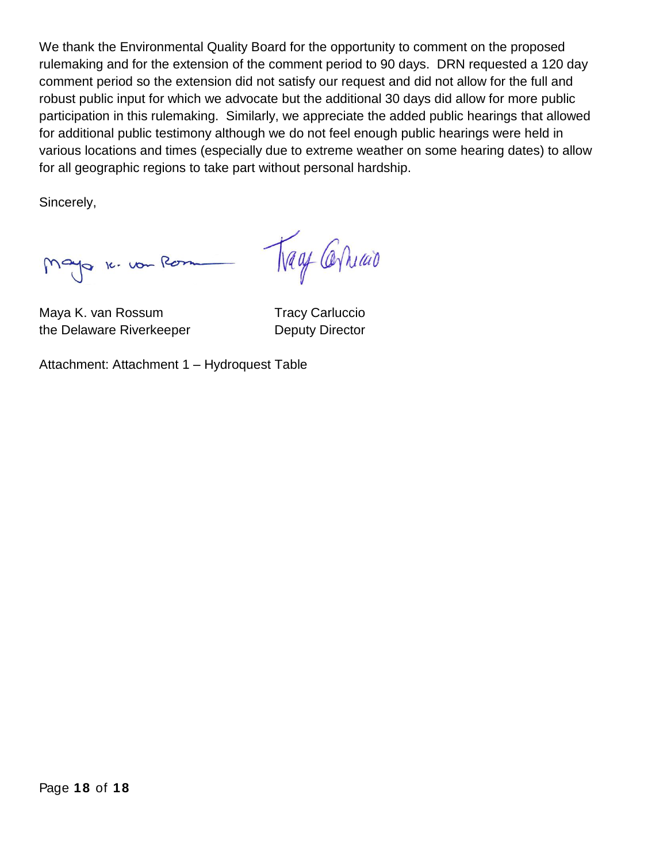We thank the Environmental Quality Board for the opportunity to comment on the proposed rulemaking and for the extension of the comment period to 90 days. DRN requested a 120 day comment period so the extension did not satisfy our request and did not allow for the full and robust public input for which we advocate but the additional 30 days did allow for more public participation in this rulemaking. Similarly, we appreciate the added public hearings that allowed for additional public testimony although we do not feel enough public hearings were held in various locations and times (especially due to extreme weather on some hearing dates) to allow for all geographic regions to take part without personal hardship.

Sincerely,

Mayo 16. vou Rom

Tray Carriao

Maya K. van Rossum Tracy Carluccio the Delaware Riverkeeper **Deputy Director** 

Attachment: Attachment 1 – Hydroquest Table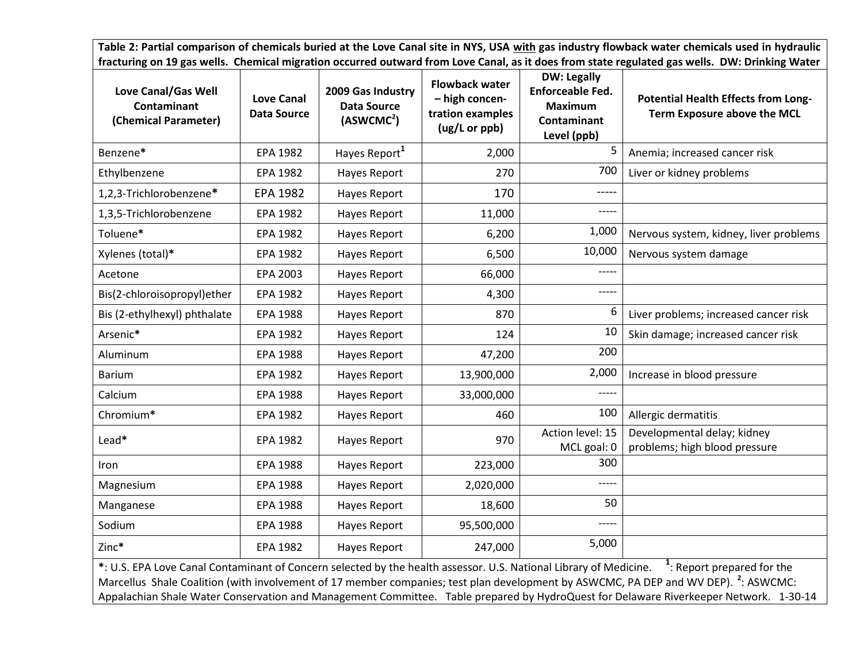**Table 2: Partial comparison of chemicals buried at the Love Canal site in NYS, USA with gas industry flowback water chemicals used in hydraulic fracturing on 19 gas wells. Chemical migration occurred outward from Love Canal, as it does from state regulated gas wells. DW: Drinking Water**

| Love Canal/Gas Well<br><b>Contaminant</b><br>(Chemical Parameter)                                                 | <b>Love Canal</b><br><b>Data Source</b> | 2009 Gas Industry<br><b>Data Source</b><br>(ASWCMC <sup>2</sup> ) | <b>Flowback water</b><br>- high concen-<br>tration examples<br>(ug/L or ppb) | <b>DW: Legally</b><br>Enforceable Fed.<br><b>Maximum</b><br><b>Contaminant</b><br>Level (ppb) | <b>Potential Health Effects from Long-</b><br>Term Exposure above the MCL |
|-------------------------------------------------------------------------------------------------------------------|-----------------------------------------|-------------------------------------------------------------------|------------------------------------------------------------------------------|-----------------------------------------------------------------------------------------------|---------------------------------------------------------------------------|
| Benzene*                                                                                                          | EPA 1982                                | Hayes Report <sup>1</sup>                                         | 2,000                                                                        | 5                                                                                             | Anemia; increased cancer risk                                             |
| Ethylbenzene                                                                                                      | <b>EPA 1982</b>                         | Hayes Report                                                      | 270                                                                          | 700                                                                                           | Liver or kidney problems                                                  |
| 1,2,3-Trichlorobenzene*                                                                                           | <b>EPA 1982</b>                         | Hayes Report                                                      | 170                                                                          | -----                                                                                         |                                                                           |
| 1,3,5-Trichlorobenzene                                                                                            | EPA 1982                                | Hayes Report                                                      | 11,000                                                                       | ----                                                                                          |                                                                           |
| Toluene*                                                                                                          | EPA 1982                                | Hayes Report                                                      | 6,200                                                                        | 1,000                                                                                         | Nervous system, kidney, liver problems                                    |
| Xylenes (total)*                                                                                                  | EPA 1982                                | Hayes Report                                                      | 6,500                                                                        | 10,000                                                                                        | Nervous system damage                                                     |
| Acetone                                                                                                           | EPA 2003                                | Hayes Report                                                      | 66,000                                                                       | -----                                                                                         |                                                                           |
| Bis(2-chloroisopropyl)ether                                                                                       | EPA 1982                                | Hayes Report                                                      | 4,300                                                                        | -----                                                                                         |                                                                           |
| Bis (2-ethylhexyl) phthalate                                                                                      | EPA 1988                                | Hayes Report                                                      | 870                                                                          | 6                                                                                             | Liver problems; increased cancer risk                                     |
| Arsenic*                                                                                                          | EPA 1982                                | Hayes Report                                                      | 124                                                                          | 10                                                                                            | Skin damage; increased cancer risk                                        |
| Aluminum                                                                                                          | EPA 1988                                | Hayes Report                                                      | 47,200                                                                       | 200                                                                                           |                                                                           |
| <b>Barium</b>                                                                                                     | EPA 1982                                | Hayes Report                                                      | 13,900,000                                                                   | 2,000                                                                                         | Increase in blood pressure                                                |
| Calcium                                                                                                           | EPA 1988                                | Hayes Report                                                      | 33,000,000                                                                   | -----                                                                                         |                                                                           |
| Chromium*                                                                                                         | EPA 1982                                | Hayes Report                                                      | 460                                                                          | 100                                                                                           | Allergic dermatitis                                                       |
| Lead*                                                                                                             | EPA 1982                                | Hayes Report                                                      | 970                                                                          | Action level: 15<br>MCL goal: 0                                                               | Developmental delay; kidney<br>problems; high blood pressure              |
| Iron                                                                                                              | EPA 1988                                | Hayes Report                                                      | 223,000                                                                      | 300                                                                                           |                                                                           |
| Magnesium                                                                                                         | <b>EPA 1988</b>                         | Hayes Report                                                      | 2,020,000                                                                    | -----                                                                                         |                                                                           |
| Manganese                                                                                                         | EPA 1988                                | Hayes Report                                                      | 18,600                                                                       | 50                                                                                            |                                                                           |
| Sodium                                                                                                            | EPA 1988                                | Hayes Report                                                      | 95,500,000                                                                   | -----                                                                                         |                                                                           |
| Zinc*                                                                                                             | EPA 1982                                | Hayes Report                                                      | 247,000                                                                      | 5,000                                                                                         |                                                                           |
| *: U.S. EPA Love Canal Contaminant of Concern selected by the health assessor. U.S. National Library of Medicine. |                                         |                                                                   |                                                                              |                                                                                               | <sup>1</sup> : Report prepared for the                                    |

Marcellus Shale Coalition (with involvement of 17 member companies; test plan development by ASWCMC, PA DEP and WV DEP). **2** : ASWCMC: Appalachian Shale Water Conservation and Management Committee. Table prepared by HydroQuest for Delaware Riverkeeper Network. 1-30-14